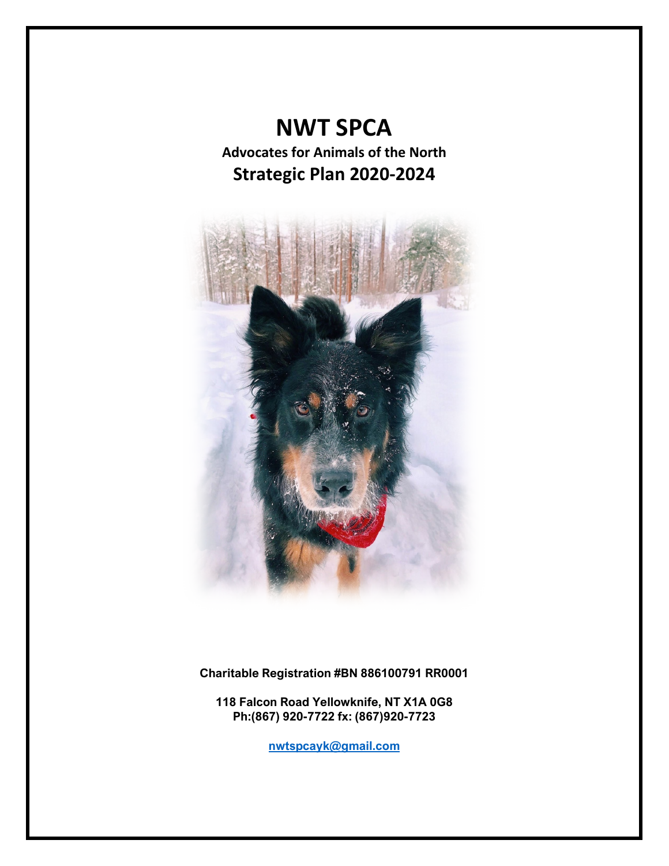# **NWT SPCA**

**Advocates for Animals of the North Strategic Plan 2020-2024**



**Charitable Registration #BN 886100791 RR0001**

**118 Falcon Road Yellowknife, NT X1A 0G8 Ph:(867) 920-7722 fx: (867)920-7723**

**[nwtspcayk@gmail.com](mailto:nwtspcayk@gmail.com)**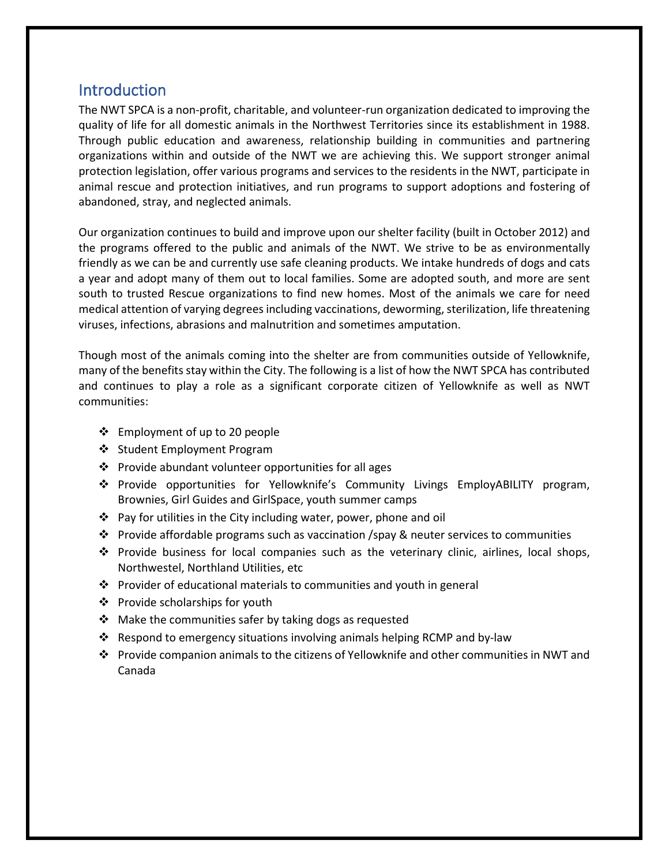# **Introduction**

The NWT SPCA is a non-profit, charitable, and volunteer-run organization dedicated to improving the quality of life for all domestic animals in the Northwest Territories since its establishment in 1988. Through public education and awareness, relationship building in communities and partnering organizations within and outside of the NWT we are achieving this. We support stronger animal protection legislation, offer various programs and services to the residents in the NWT, participate in animal rescue and protection initiatives, and run programs to support adoptions and fostering of abandoned, stray, and neglected animals.

Our organization continues to build and improve upon our shelter facility (built in October 2012) and the programs offered to the public and animals of the NWT. We strive to be as environmentally friendly as we can be and currently use safe cleaning products. We intake hundreds of dogs and cats a year and adopt many of them out to local families. Some are adopted south, and more are sent south to trusted Rescue organizations to find new homes. Most of the animals we care for need medical attention of varying degrees including vaccinations, deworming, sterilization, life threatening viruses, infections, abrasions and malnutrition and sometimes amputation.

Though most of the animals coming into the shelter are from communities outside of Yellowknife, many of the benefits stay within the City. The following is a list of how the NWT SPCA has contributed and continues to play a role as a significant corporate citizen of Yellowknife as well as NWT communities:

- Employment of up to 20 people
- Student Employment Program
- ❖ Provide abundant volunteer opportunities for all ages
- Provide opportunities for Yellowknife's Community Livings EmployABILITY program, Brownies, Girl Guides and GirlSpace, youth summer camps
- Pay for utilities in the City including water, power, phone and oil
- Provide affordable programs such as vaccination /spay & neuter services to communities
- $\cdot \cdot$  Provide business for local companies such as the veterinary clinic, airlines, local shops, Northwestel, Northland Utilities, etc
- $\cdot \cdot$  Provider of educational materials to communities and youth in general
- $\triangleleft$  Provide scholarships for youth
- $\cdot$  Make the communities safer by taking dogs as requested
- Respond to emergency situations involving animals helping RCMP and by-law
- Provide companion animals to the citizens of Yellowknife and other communities in NWT and Canada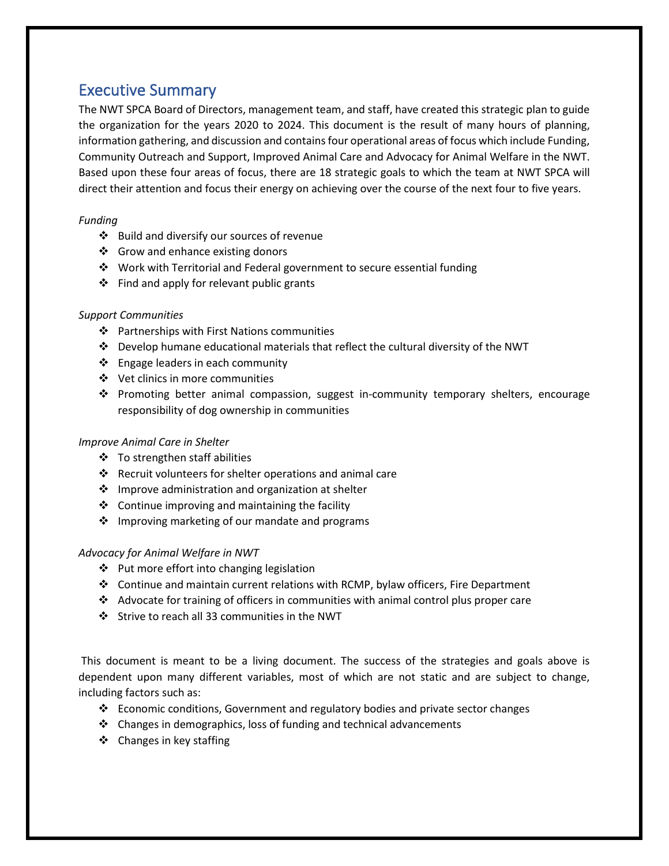# Executive Summary

The NWT SPCA Board of Directors, management team, and staff, have created this strategic plan to guide the organization for the years 2020 to 2024. This document is the result of many hours of planning, information gathering, and discussion and contains four operational areas of focus which include Funding, Community Outreach and Support, Improved Animal Care and Advocacy for Animal Welfare in the NWT. Based upon these four areas of focus, there are 18 strategic goals to which the team at NWT SPCA will direct their attention and focus their energy on achieving over the course of the next four to five years.

### *Funding*

- Build and diversify our sources of revenue
- ❖ Grow and enhance existing donors
- Work with Territorial and Federal government to secure essential funding
- $\div$  Find and apply for relevant public grants

### *Support Communities*

- Partnerships with First Nations communities
- Develop humane educational materials that reflect the cultural diversity of the NWT
- $\triangleleft$  Engage leaders in each community
- Vet clinics in more communities
- Promoting better animal compassion, suggest in-community temporary shelters, encourage responsibility of dog ownership in communities

### *Improve Animal Care in Shelter*

- To strengthen staff abilities
- $\cdot \cdot$  Recruit volunteers for shelter operations and animal care
- $\cdot$  Improve administration and organization at shelter
- $\triangleleft$  Continue improving and maintaining the facility
- ❖ Improving marketing of our mandate and programs

### *Advocacy for Animal Welfare in NWT*

- $\div$  Put more effort into changing legislation
- Continue and maintain current relations with RCMP, bylaw officers, Fire Department
- $\triangleleft$  Advocate for training of officers in communities with animal control plus proper care
- Strive to reach all 33 communities in the NWT

This document is meant to be a living document. The success of the strategies and goals above is dependent upon many different variables, most of which are not static and are subject to change, including factors such as:

- **Example 2** Economic conditions, Government and regulatory bodies and private sector changes
- Changes in demographics, loss of funding and technical advancements
- ❖ Changes in key staffing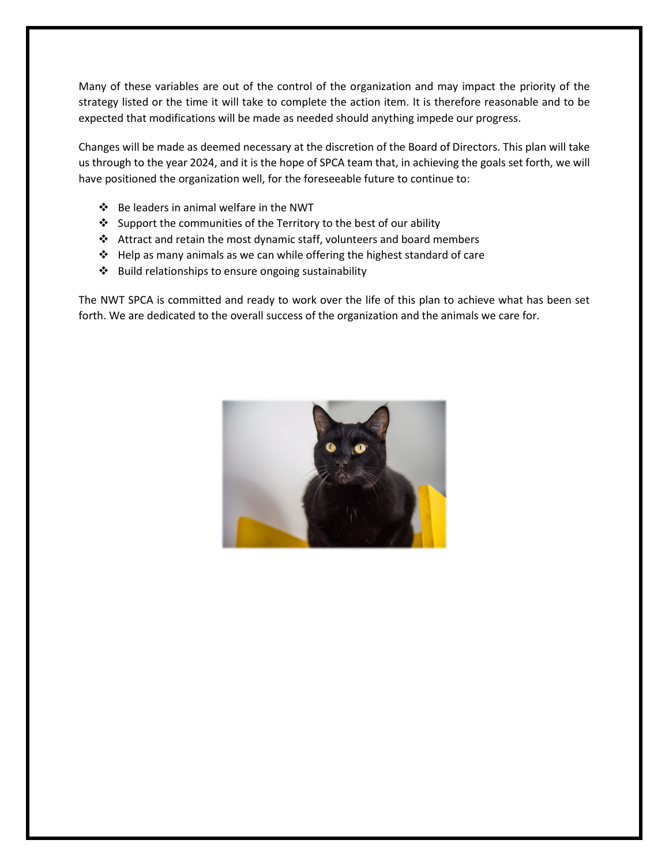Many of these variables are out of the control of the organization and may impact the priority of the strategy listed or the time it will take to complete the action item. It is therefore reasonable and to be expected that modifications will be made as needed should anything impede our progress.

Changes will be made as deemed necessary at the discretion of the Board of Directors. This plan will take us through to the year 2024, and it is the hope of SPCA team that, in achieving the goals set forth, we will have positioned the organization well, for the foreseeable future to continue to:

- Be leaders in animal welfare in the NWT
- $\triangle$  Support the communities of the Territory to the best of our ability
- Attract and retain the most dynamic staff, volunteers and board members
- $\triangleleft$  Help as many animals as we can while offering the highest standard of care
- ❖ Build relationships to ensure ongoing sustainability

The NWT SPCA is committed and ready to work over the life of this plan to achieve what has been set forth. We are dedicated to the overall success of the organization and the animals we care for.

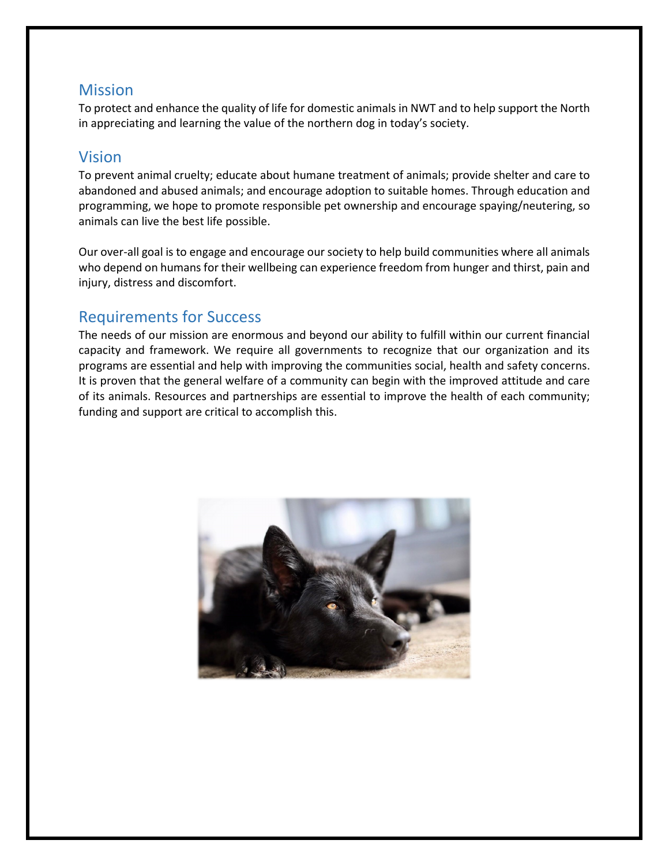# **Mission**

To protect and enhance the quality of life for domestic animals in NWT and to help support the North in appreciating and learning the value of the northern dog in today's society.

# Vision

To prevent animal cruelty; educate about humane treatment of animals; provide shelter and care to abandoned and abused animals; and encourage adoption to suitable homes. Through education and programming, we hope to promote responsible pet ownership and encourage spaying/neutering, so animals can live the best life possible.

Our over-all goal is to engage and encourage our society to help build communities where all animals who depend on humans for their wellbeing can experience freedom from hunger and thirst, pain and injury, distress and discomfort.

# Requirements for Success

The needs of our mission are enormous and beyond our ability to fulfill within our current financial capacity and framework. We require all governments to recognize that our organization and its programs are essential and help with improving the communities social, health and safety concerns. It is proven that the general welfare of a community can begin with the improved attitude and care of its animals. Resources and partnerships are essential to improve the health of each community; funding and support are critical to accomplish this.

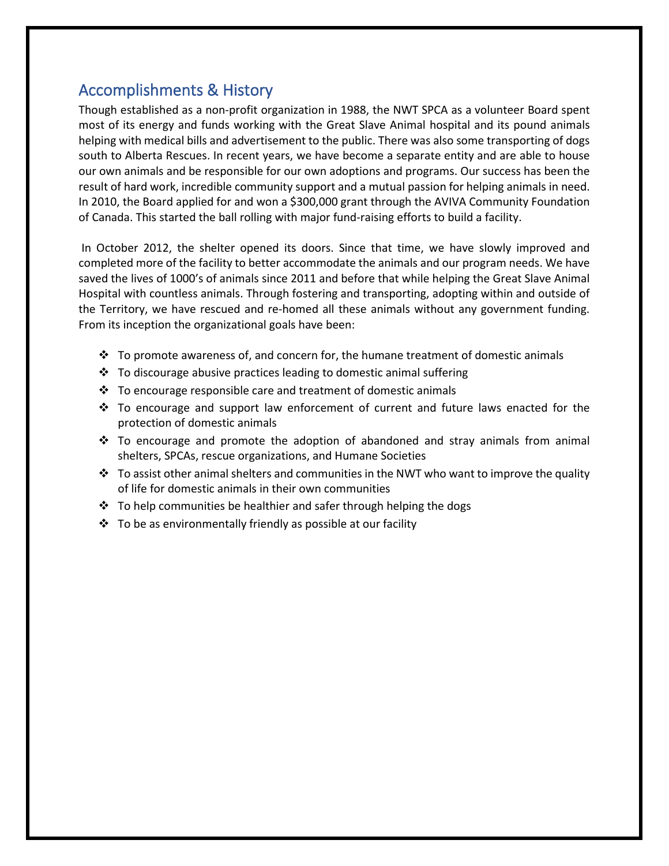# Accomplishments & History

Though established as a non-profit organization in 1988, the NWT SPCA as a volunteer Board spent most of its energy and funds working with the Great Slave Animal hospital and its pound animals helping with medical bills and advertisement to the public. There was also some transporting of dogs south to Alberta Rescues. In recent years, we have become a separate entity and are able to house our own animals and be responsible for our own adoptions and programs. Our success has been the result of hard work, incredible community support and a mutual passion for helping animals in need. In 2010, the Board applied for and won a \$300,000 grant through the AVIVA Community Foundation of Canada. This started the ball rolling with major fund-raising efforts to build a facility.

In October 2012, the shelter opened its doors. Since that time, we have slowly improved and completed more of the facility to better accommodate the animals and our program needs. We have saved the lives of 1000's of animals since 2011 and before that while helping the Great Slave Animal Hospital with countless animals. Through fostering and transporting, adopting within and outside of the Territory, we have rescued and re-homed all these animals without any government funding. From its inception the organizational goals have been:

- $\div$  To promote awareness of, and concern for, the humane treatment of domestic animals
- To discourage abusive practices leading to domestic animal suffering
- To encourage responsible care and treatment of domestic animals
- $\div$  To encourage and support law enforcement of current and future laws enacted for the protection of domestic animals
- $\div$  To encourage and promote the adoption of abandoned and stray animals from animal shelters, SPCAs, rescue organizations, and Humane Societies
- $\cdot \cdot$  To assist other animal shelters and communities in the NWT who want to improve the quality of life for domestic animals in their own communities
- $\cdot \cdot$  To help communities be healthier and safer through helping the dogs
- $\cdot \cdot$  To be as environmentally friendly as possible at our facility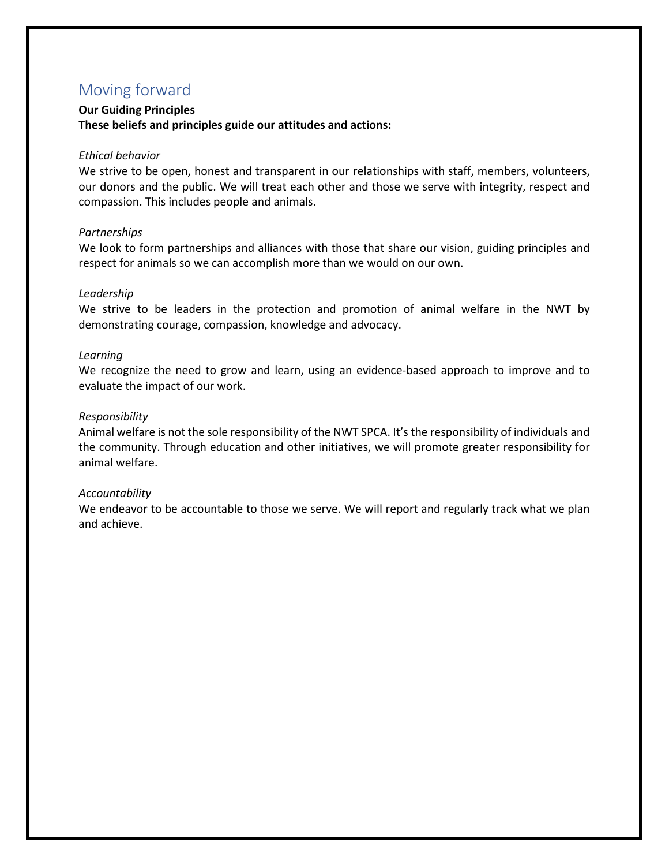# Moving forward

#### **Our Guiding Principles These beliefs and principles guide our attitudes and actions:**

#### *Ethical behavior*

We strive to be open, honest and transparent in our relationships with staff, members, volunteers, our donors and the public. We will treat each other and those we serve with integrity, respect and compassion. This includes people and animals.

#### *Partnerships*

We look to form partnerships and alliances with those that share our vision, guiding principles and respect for animals so we can accomplish more than we would on our own.

#### *Leadership*

We strive to be leaders in the protection and promotion of animal welfare in the NWT by demonstrating courage, compassion, knowledge and advocacy.

#### *Learning*

We recognize the need to grow and learn, using an evidence-based approach to improve and to evaluate the impact of our work.

#### *Responsibility*

Animal welfare is not the sole responsibility of the NWT SPCA. It's the responsibility of individuals and the community. Through education and other initiatives, we will promote greater responsibility for animal welfare.

#### *Accountability*

We endeavor to be accountable to those we serve. We will report and regularly track what we plan and achieve.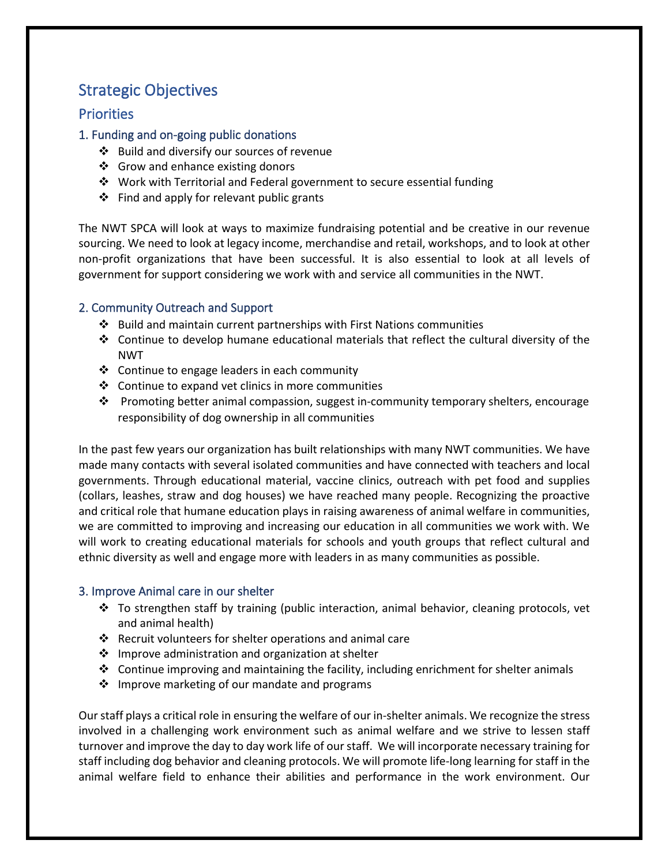# Strategic Objectives

### **Priorities**

### 1. Funding and on-going public donations

- ❖ Build and diversify our sources of revenue
- ❖ Grow and enhance existing donors
- $\cdot$  Work with Territorial and Federal government to secure essential funding
- ❖ Find and apply for relevant public grants

The NWT SPCA will look at ways to maximize fundraising potential and be creative in our revenue sourcing. We need to look at legacy income, merchandise and retail, workshops, and to look at other non-profit organizations that have been successful. It is also essential to look at all levels of government for support considering we work with and service all communities in the NWT.

### 2. Community Outreach and Support

- $\cdot$  Build and maintain current partnerships with First Nations communities
- $\div$  Continue to develop humane educational materials that reflect the cultural diversity of the NWT
- ❖ Continue to engage leaders in each community
- $\triangleleft$  Continue to expand vet clinics in more communities
- $\clubsuit$  Promoting better animal compassion, suggest in-community temporary shelters, encourage responsibility of dog ownership in all communities

In the past few years our organization has built relationships with many NWT communities. We have made many contacts with several isolated communities and have connected with teachers and local governments. Through educational material, vaccine clinics, outreach with pet food and supplies (collars, leashes, straw and dog houses) we have reached many people. Recognizing the proactive and critical role that humane education plays in raising awareness of animal welfare in communities, we are committed to improving and increasing our education in all communities we work with. We will work to creating educational materials for schools and youth groups that reflect cultural and ethnic diversity as well and engage more with leaders in as many communities as possible.

### 3. Improve Animal care in our shelter

- \* To strengthen staff by training (public interaction, animal behavior, cleaning protocols, vet and animal health)
- $\cdot$  Recruit volunteers for shelter operations and animal care
- $\cdot$  Improve administration and organization at shelter
- $\div$  Continue improving and maintaining the facility, including enrichment for shelter animals
- ❖ Improve marketing of our mandate and programs

Our staff plays a critical role in ensuring the welfare of our in-shelter animals. We recognize the stress involved in a challenging work environment such as animal welfare and we strive to lessen staff turnover and improve the day to day work life of our staff. We will incorporate necessary training for staff including dog behavior and cleaning protocols. We will promote life-long learning for staff in the animal welfare field to enhance their abilities and performance in the work environment. Our